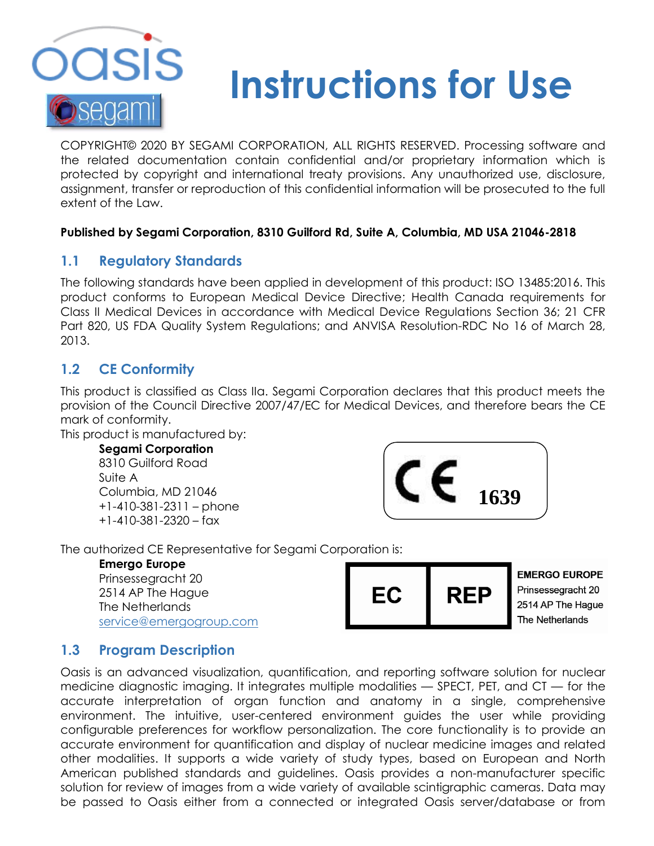

# **Instructions for Use**

COPYRIGHT© 2020 BY SEGAMI CORPORATION, ALL RIGHTS RESERVED. Processing software and the related documentation contain confidential and/or proprietary information which is protected by copyright and international treaty provisions. Any unauthorized use, disclosure, assignment, transfer or reproduction of this confidential information will be prosecuted to the full extent of the Law.

### **Published by Segami Corporation, 8310 Guilford Rd, Suite A, Columbia, MD USA 21046-2818**

# **1.1 Regulatory Standards**

The following standards have been applied in development of this product: ISO 13485:2016. This product conforms to European Medical Device Directive; Health Canada requirements for Class II Medical Devices in accordance with Medical Device Regulations Section 36; 21 CFR Part 820, US FDA Quality System Regulations; and ANVISA Resolution-RDC No 16 of March 28, 2013.

# **1.2 CE Conformity**

This product is classified as Class IIa. Segami Corporation declares that this product meets the provision of the Council Directive 2007/47/EC for Medical Devices, and therefore bears the CE mark of conformity.

This product is manufactured by:

**Segami Corporation** 8310 Guilford Road Suite A Columbia, MD 21046 +1-410-381-2311 – phone +1-410-381-2320 – fax



## The authorized CE Representative for Segami Corporation is:

#### **Emergo Europe**

Prinsessegracht 20 2514 AP The Hague The Netherlands [service@emergogroup.com](mailto:service@emergogroup.com)



**EMERGO EUROPE** Prinsessegracht 20 2514 AP The Hague The Netherlands

# **1.3 Program Description**

Oasis is an advanced visualization, quantification, and reporting software solution for nuclear medicine diagnostic imaging. It integrates multiple modalities — SPECT, PET, and CT — for the accurate interpretation of organ function and anatomy in a single, comprehensive environment. The intuitive, user-centered environment guides the user while providing configurable preferences for workflow personalization. The core functionality is to provide an accurate environment for quantification and display of nuclear medicine images and related other modalities. It supports a wide variety of study types, based on European and North American published standards and guidelines. Oasis provides a non-manufacturer specific solution for review of images from a wide variety of available scintigraphic cameras. Data may be passed to Oasis either from a connected or integrated Oasis server/database or from